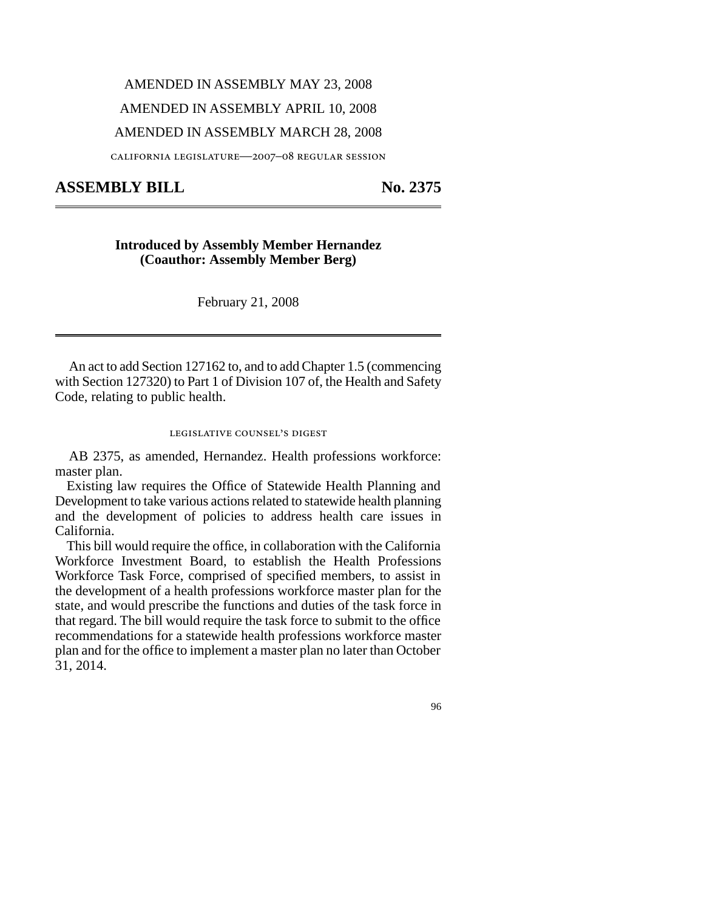# AMENDED IN ASSEMBLY MAY 23, 2008

## AMENDED IN ASSEMBLY APRIL 10, 2008

#### AMENDED IN ASSEMBLY MARCH 28, 2008

california legislature—2007–08 regular session

# ASSEMBLY BILL No. 2375

#### **Introduced by Assembly Member Hernandez (Coauthor: Assembly Member Berg)**

February 21, 2008

An act to add Section 127162 to, and to add Chapter 1.5 (commencing with Section 127320) to Part 1 of Division 107 of, the Health and Safety Code, relating to public health.

## legislative counsel' s digest

AB 2375, as amended, Hernandez. Health professions workforce: master plan.

Existing law requires the Office of Statewide Health Planning and Development to take various actions related to statewide health planning and the development of policies to address health care issues in California.

This bill would require the office, in collaboration with the California Workforce Investment Board, to establish the Health Professions Workforce Task Force, comprised of specified members, to assist in the development of a health professions workforce master plan for the state, and would prescribe the functions and duties of the task force in that regard. The bill would require the task force to submit to the office recommendations for a statewide health professions workforce master plan and for the office to implement a master plan no later than October 31, 2014.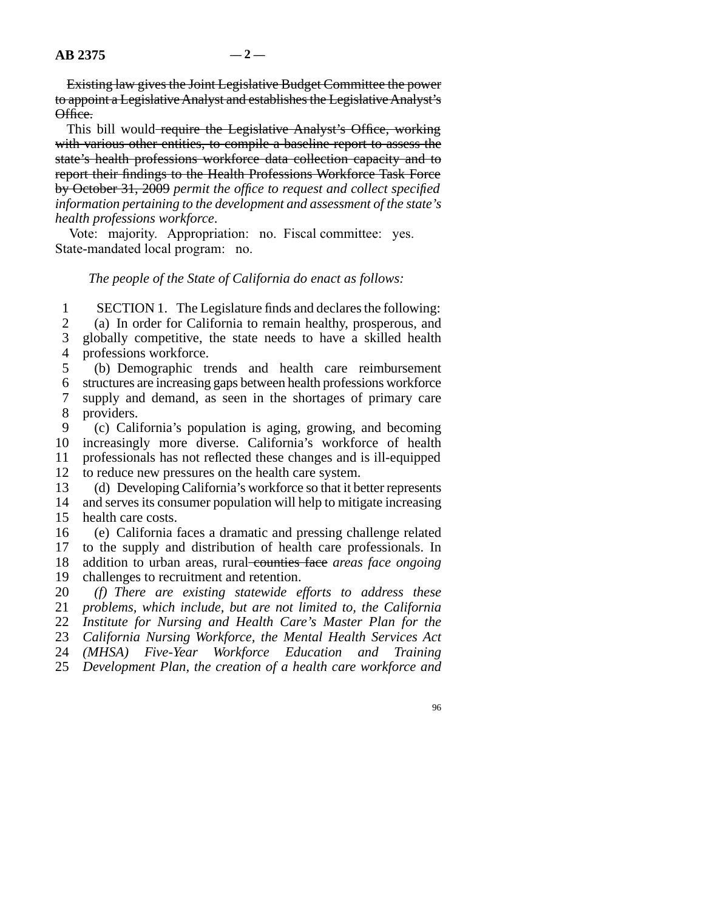Existing law gives the Joint Legislative Budget Committee the power to appoint a Legislative Analyst and establishes the Legislative Analyst's Office.

This bill would require the Legislative Analyst's Office, working with various other entities, to compile a baseline report to assess the state's health professions workforce data collection capacity and to report their findings to the Health Professions Workforce Task Force by October 31, 2009 *permit the office to request and collect specified information pertaining to the development and assessment of the state's health professions workforce*.

Vote: majority. Appropriation: no. Fiscal committee: yes. State-mandated local program: no.

#### *The people of the State of California do enact as follows:*

1 2 3 4 SECTION 1. The Legislature finds and declares the following: (a) In order for California to remain healthy, prosperous, and globally competitive, the state needs to have a skilled health professions workforce.

5 6 7 8 (b) Demographic trends and health care reimbursement structures are increasing gaps between health professions workforce supply and demand, as seen in the shortages of primary care providers.

9 10 11 12 (c) California's population is aging, growing, and becoming increasingly more diverse. California's workforce of health professionals has not reflected these changes and is ill-equipped to reduce new pressures on the health care system.

13 14 15 (d) Developing California's workforce so that it better represents and serves its consumer population will help to mitigate increasing health care costs.

16 17 18 19 (e) California faces a dramatic and pressing challenge related to the supply and distribution of health care professionals. In addition to urban areas, rural counties face areas face ongoing challenges to recruitment and retention.

20 21 22 23 24 25 *(f) There are existing statewide efforts to address these problems, which include, but are not limited to, the California Institute for Nursing and Health Care's Master Plan for the California Nursing Workforce, the Mental Health Services Act (MHSA) Five-Year Workforce Education and Training Development Plan, the creation of a health care workforce and*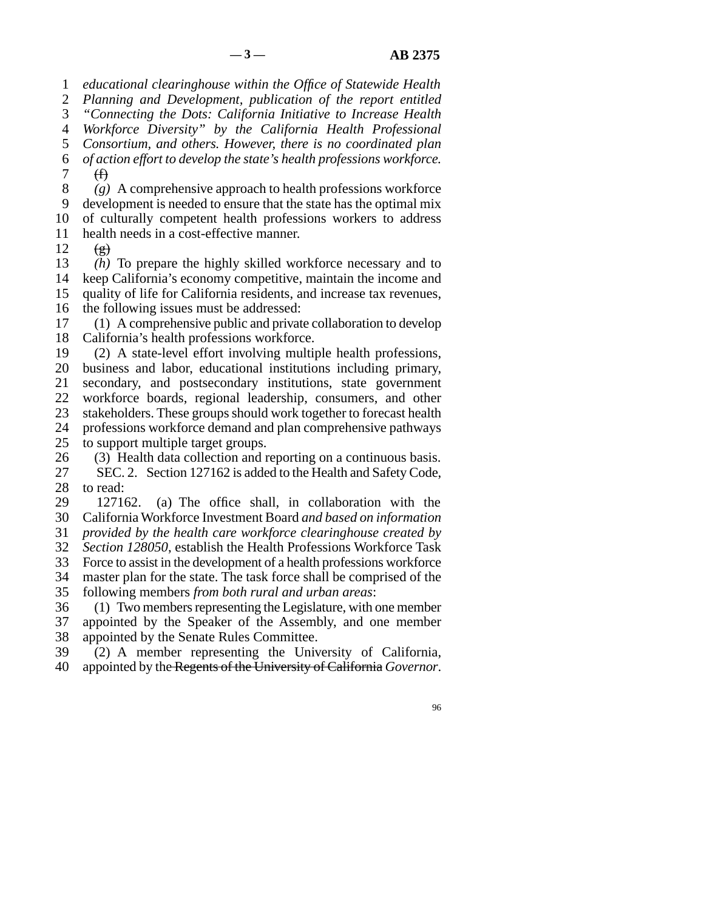1 *educational clearinghouse within the Office of Statewide Health*

2 *Planning and Development, publication of the report entitled*

3 *"Connecting the Dots: California Initiative to Increase Health*

4 *Workforce Diversity" by the California Health Professional*

5 6 *Consortium, and others. However, there is no coordinated plan of action effort to develop the state's health professions workforce.*

7  $\bigoplus$ 

8 *(g)* A comprehensive approach to health professions workforce

9 10 development is needed to ensure that the state has the optimal mix of culturally competent health professions workers to address

11 health needs in a cost-effective manner.

12  $\left(\frac{\mathbf{e}}{\mathbf{e}}\right)$ 

13 14 15 *(h)* To prepare the highly skilled workforce necessary and to keep California's economy competitive, maintain the income and quality of life for California residents, and increase tax revenues,

16 the following issues must be addressed:

17 18 (1) A comprehensive public and private collaboration to develop California's health professions workforce.

19 20 (2) A state-level effort involving multiple health professions, business and labor, educational institutions including primary,

21 22 secondary, and postsecondary institutions, state government workforce boards, regional leadership, consumers, and other

23 stakeholders. These groups should work together to forecast health

24 professions workforce demand and plan comprehensive pathways

25 to support multiple target groups.

26 27 28 (3) Health data collection and reporting on a continuous basis. SEC. 2. Section 127162 is added to the Health and Safety Code, to read:

29 30 127162. (a) The office shall, in collaboration with the California Workforce Investment Board *and based on information*

31 *provided by the health care workforce clearinghouse created by*

32 *Section 128050*, establish the Health Professions Workforce Task

33 Force to assist in the development of a health professions workforce

34 master plan for the state. The task force shall be comprised of the

35 following members *from both rural and urban areas*:

36 37 38 (1) Two members representing the Legislature, with one member appointed by the Speaker of the Assembly, and one member appointed by the Senate Rules Committee.

39 40 (2) A member representing the University of California, appointed by the Regents of the University of California *Governor*.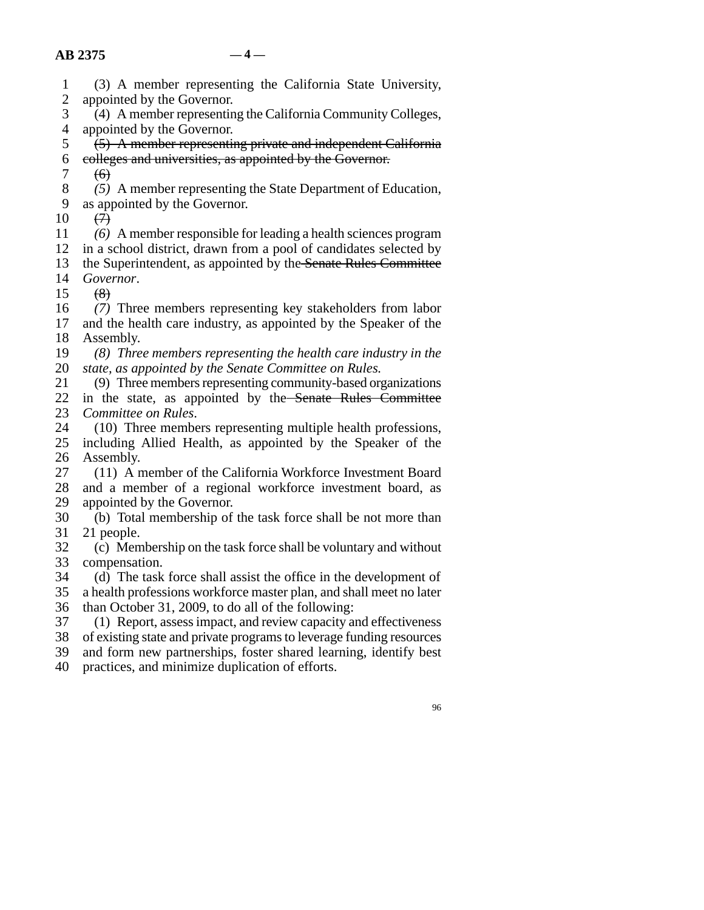- 1 2 3 (3) A member representing the California State University, appointed by the Governor. (4) A member representing the California Community Colleges,
- 4 appointed by the Governor.
- 5 6 (5) A member representing private and independent California colleges and universities, as appointed by the Governor.
- 7  $f(\theta)$
- 8 *(5)* A member representing the State Department of Education,
- 9 as appointed by the Governor.
- 10  $\leftrightarrow$

11 *(6)* A member responsible for leading a health sciences program

12 in a school district, drawn from a pool of candidates selected by

13 the Superintendent, as appointed by the Senate Rules Committee

- 14 *Governor*.
- 15  $(8)$

16 17 18 *(7)* Three members representing key stakeholders from labor and the health care industry, as appointed by the Speaker of the Assembly.

- 19 20 *(8) Three members representing the health care industry in the state, as appointed by the Senate Committee on Rules.*
- 21 22 23 (9) Three members representing community-based organizations in the state, as appointed by the Senate Rules Committee *Committee on Rules*.
- 24 25 26 (10) Three members representing multiple health professions, including Allied Health, as appointed by the Speaker of the Assembly.
- 27 28 29 (11) A member of the California Workforce Investment Board and a member of a regional workforce investment board, as appointed by the Governor.
- 30 31 (b) Total membership of the task force shall be not more than 21 people.
- 32 33 (c) Membership on the task force shall be voluntary and without compensation.
- 34 35 (d) The task force shall assist the office in the development of a health professions workforce master plan, and shall meet no later
- 36 than October 31, 2009, to do all of the following:

37 (1) Report, assess impact, and review capacity and effectiveness

- 38 of existing state and private programs to leverage funding resources
- 39 and form new partnerships, foster shared learning, identify best
- 40 practices, and minimize duplication of efforts.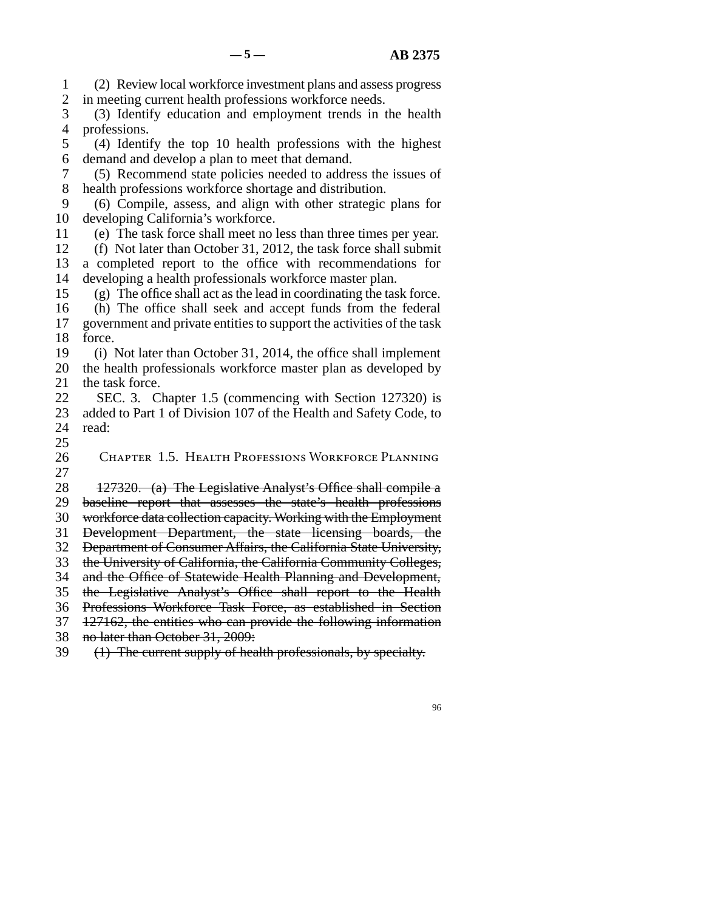1 2 3 4 5 6 7 8 9 10 11 12 13 14 15 16 17 18 19 20 21 22 23 24 25 26 27 28 29 30 31 32 33 34 35 36 37 38 39 (2) Review local workforce investment plans and assess progress in meeting current health professions workforce needs. (3) Identify education and employment trends in the health professions. (4) Identify the top 10 health professions with the highest demand and develop a plan to meet that demand. (5) Recommend state policies needed to address the issues of health professions workforce shortage and distribution. (6) Compile, assess, and align with other strategic plans for developing California's workforce. (e) The task force shall meet no less than three times per year. (f) Not later than October 31, 2012, the task force shall submit a completed report to the office with recommendations for developing a health professionals workforce master plan. (g) The office shall act as the lead in coordinating the task force. (h) The office shall seek and accept funds from the federal government and private entities to support the activities of the task force. (i) Not later than October 31, 2014, the office shall implement the health professionals workforce master plan as developed by the task force. SEC. 3. Chapter 1.5 (commencing with Section 127320) is added to Part 1 of Division 107 of the Health and Safety Code, to read: Chapter 1.5. Health Professions Workforce Planning 127320. (a) The Legislative Analyst's Office shall compile a baseline report that assesses the state's health professions workforce data collection capacity. Working with the Employment Development Department, the state licensing boards, the Department of Consumer Affairs, the California State University, the University of California, the California Community Colleges, and the Office of Statewide Health Planning and Development, the Legislative Analyst's Office shall report to the Health Professions Workforce Task Force, as established in Section 127162, the entities who can provide the following information no later than October 31, 2009: (1) The current supply of health professionals, by specialty.